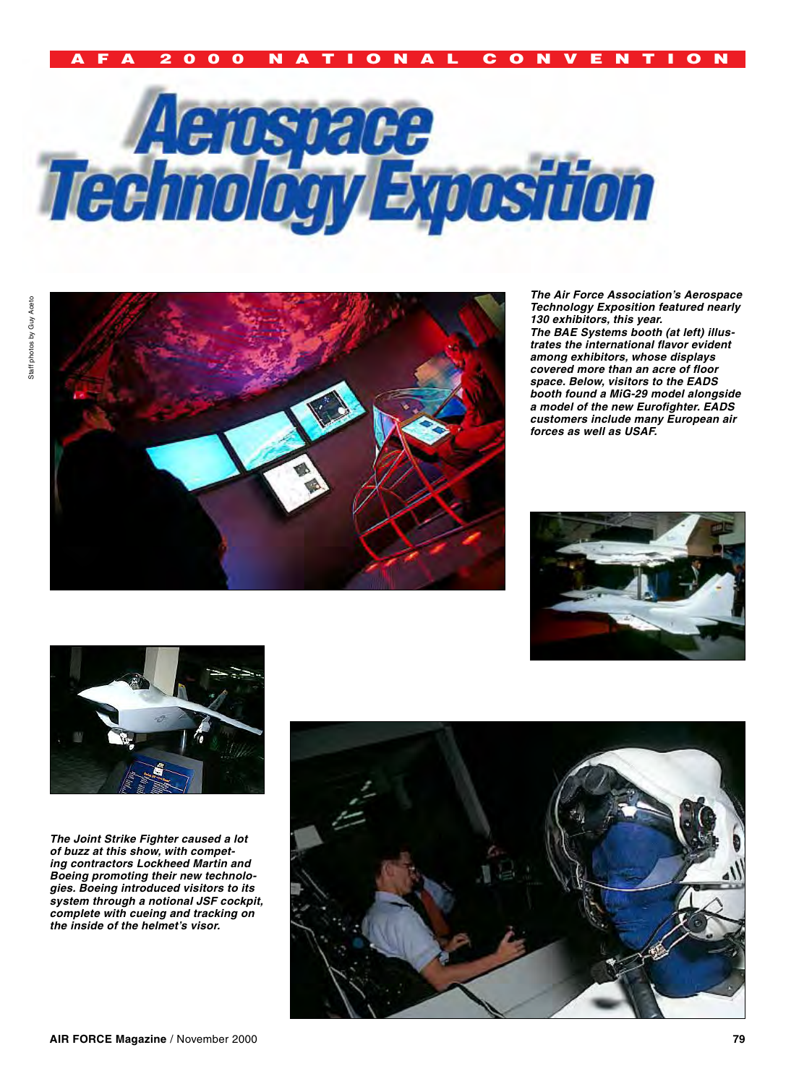# A F A 2 0 0 0 n a t i o n a l c o n v e n t i o n





*The Air Force Association's Aerospace Technology Exposition featured nearly 130 exhibitors, this year. The BAE Systems booth (at left) illustrates the international flavor evident among exhibitors, whose displays covered more than an acre of floor space. Below, visitors to the EADS booth found a MiG-29 model alongside a model of the new Eurofighter. EADS customers include many European air forces as well as USAF.*



*The Joint Strike Fighter caused a lot of buzz at this show, with competing contractors Lockheed Martin and Boeing promoting their new technologies. Boeing introduced visitors to its system through a notional JSF cockpit, complete with cueing and tracking on the inside of the helmet's visor.* 

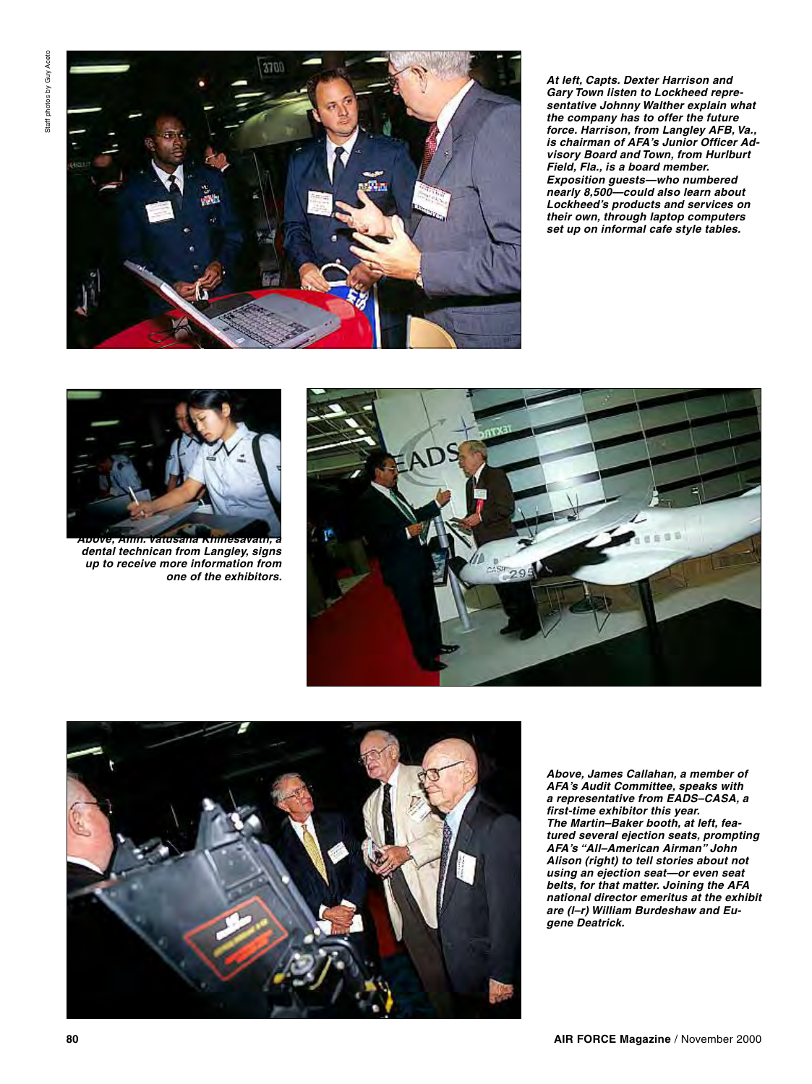

*At left, Capts. Dexter Harrison and Gary Town listen to Lockheed representative Johnny Walther explain what the company has to offer the future force. Harrison, from Langley AFB, Va., is chairman of AFA's Junior Officer Advisory Board and Town, from Hurlburt Field, Fla., is a board member. Exposition guests—who numbered nearly 8,500—could also learn about Lockheed's products and services on their own, through laptop computers set up on informal cafe style tables.*



*Above, Amn. Vatusana Khinesavath, a dental technican from Langley, signs up to receive more information from one of the exhibitors.* 





*Above, James Callahan, a member of AFA's Audit Committee, speaks with a representative from EADS–CASA, a first-time exhibitor this year. The Martin–Baker booth, at left, featured several ejection seats, prompting AFA's "All–American Airman" John Alison (right) to tell stories about not using an ejection seat—or even seat belts, for that matter. Joining the AFA national director emeritus at the exhibit are (l–r) William Burdeshaw and Eugene Deatrick.*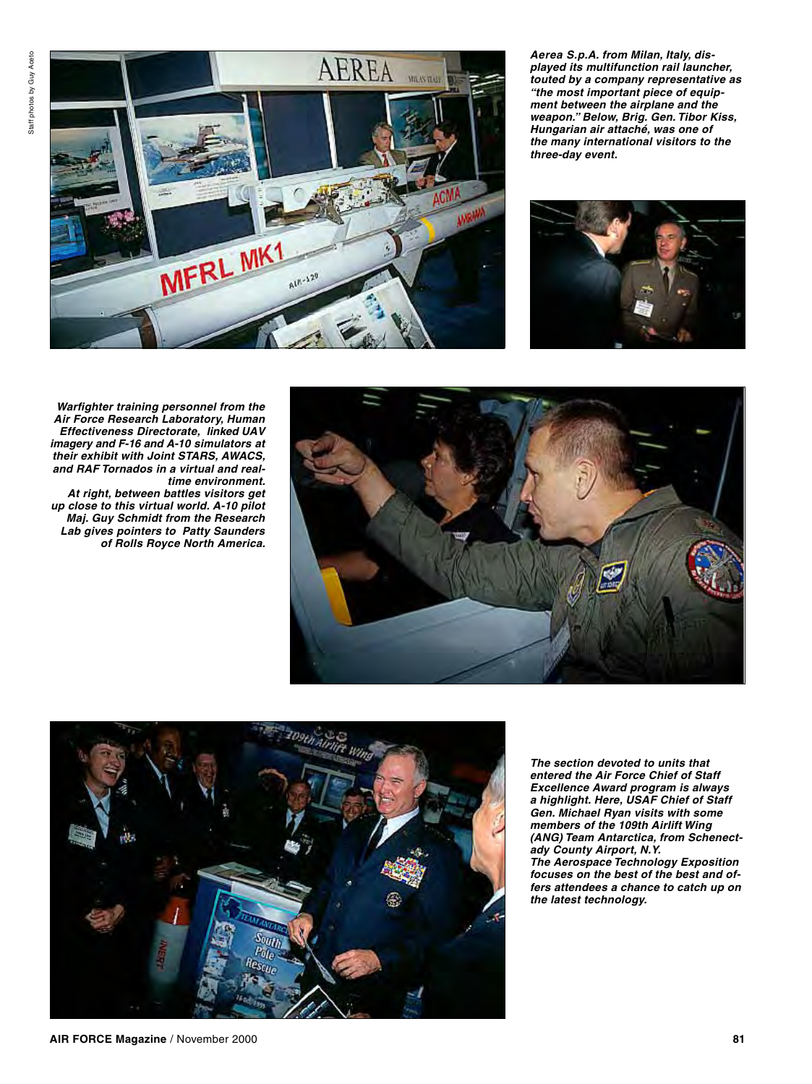

*Aerea S.p.A. from Milan, Italy, displayed its multifunction rail launcher, touted by a company representative as "the most important piece of equipment between the airplane and the weapon." Below, Brig. Gen. Tibor Kiss, Hungarian air attaché, was one of the many international visitors to the three-day event.*



 *Warfighter training personnel from the Air Force Research Laboratory, Human Effectiveness Directorate, linked UAV imagery and F-16 and A-10 simulators at their exhibit with Joint STARS, AWACS, and RAF Tornados in a virtual and realtime environment. At right, between battles visitors get up close to this virtual world. A-10 pilot* 

*Maj. Guy Schmidt from the Research Lab gives pointers to Patty Saunders of Rolls Royce North America.*





*The section devoted to units that entered the Air Force Chief of Staff Excellence Award program is always a highlight. Here, USAF Chief of Staff Gen. Michael Ryan visits with some members of the 109th Airlift Wing (ANG) Team Antarctica, from Schenectady County Airport, N.Y. The Aerospace Technology Exposition focuses on the best of the best and offers attendees a chance to catch up on the latest technology.*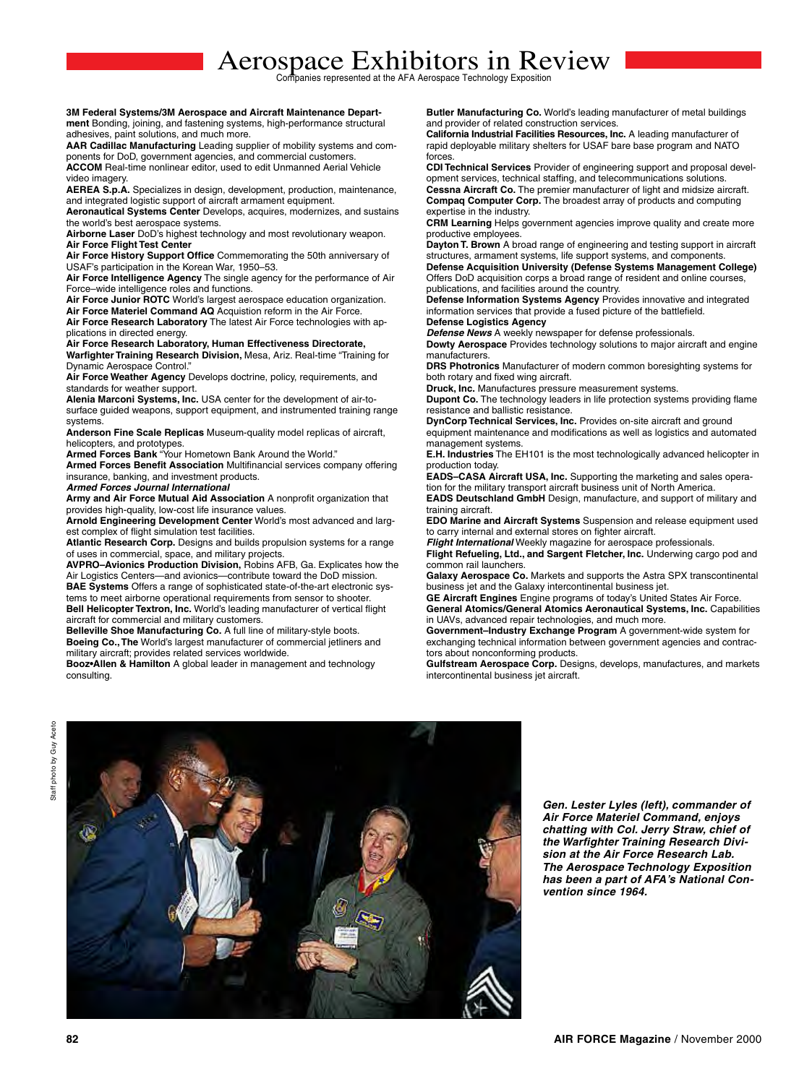#### **3M Federal Systems/3M Aerospace and Aircraft Maintenance Depart‑ ment** Bonding, joining, and fastening systems, high‑performance structural adhesives, paint solutions, and much more.

AAR Cadillac Manufacturing Leading supplier of mobility systems and components for DoD, government agencies, and commercial customers. **ACCOM** Real-time nonlinear editor, used to edit Unmanned Aerial Vehicle

video imagery.

**AEREA S.p.A.** Specializes in design, development, production, maintenance, and integrated logistic support of aircraft armament equipment.

**Aeronautical Systems Center** Develops, acquires, modernizes, and sustains the world's best aerospace systems.

**Airborne Laser** DoD's highest technology and most revolutionary weapon. **Air Force Flight Test Center**

**Air Force History Support Office** Commemorating the 50th anniversary of USAF's participation in the Korean War, 1950–53.

**Air Force Intelligence Agency** The single agency for the performance of Air Force–wide intelligence roles and functions.

**Air Force Junior ROTC** World's largest aerospace education organization.

**Air Force Materiel Command AQ** Acquistion reform in the Air Force. **Air Force Research Laboratory** The latest Air Force technologies with ap‑ plications in directed energy.

**Air Force Research Laboratory, Human Effectiveness Directorate, Warfighter Training Research Division,** Mesa, Ariz. Real‑time "Training for

Dynamic Aerospace Control." **Air Force Weather Agency** Develops doctrine, policy, requirements, and standards for weather support.

**Alenia Marconi Systems, Inc.** USA center for the development of air-to-

surface guided weapons, support equipment, and instrumented training range systems.

**Anderson Fine Scale Replicas** Museum‑quality model replicas of aircraft, helicopters, and prototypes.

**Armed Forces Bank** "Your Hometown Bank Around the World."

**Armed Forces Benefit Association** Multifinancial services company offering insurance, banking, and investment products.

*Armed Forces Journal International*

**Army and Air Force Mutual Aid Association** A nonprofit organization that provides high-quality, low-cost life insurance values.

**Arnold Engineering Development Center** World's most advanced and larg‑ est complex of flight simulation test facilities.

**Atlantic Research Corp.** Designs and builds propulsion systems for a range of uses in commercial, space, and military projects.

**AVPRO–Avionics Production Division,** Robins AFB, Ga. Explicates how the Air Logistics Centers—and avionics—contribute toward the DoD mission.

**BAE Systems** Offers a range of sophisticated state-of-the-art electronic systems to meet airborne operational requirements from sensor to shooter. **Bell Helicopter Textron, Inc.** World's leading manufacturer of vertical flight aircraft for commercial and military customers.

**Belleville Shoe Manufacturing Co.** A full line of military-style boots. **Boeing Co., The** World's largest manufacturer of commercial jetliners and military aircraft; provides related services worldwide.

**Booz•Allen & Hamilton** A global leader in management and technology consulting.

**Butler Manufacturing Co.** World's leading manufacturer of metal buildings and provider of related construction services.

**California Industrial Facilities Resources, Inc.** A leading manufacturer of rapid deployable military shelters for USAF bare base program and NATO forces.

**CDI Technical Services** Provider of engineering support and proposal devel‑ opment services, technical staffing, and telecommunications solutions.

**Cessna Aircraft Co.** The premier manufacturer of light and midsize aircraft. **Compaq Computer Corp.** The broadest array of products and computing expertise in the industry.

**CRM Learning** Helps government agencies improve quality and create more productive employees.

**Dayton T. Brown** A broad range of engineering and testing support in aircraft structures, armament systems, life support systems, and components.

**Defense Acquisition University (Defense Systems Management College)** Offers DoD acquisition corps a broad range of resident and online courses, publications, and facilities around the country.

**Defense Information Systems Agency** Provides innovative and integrated information services that provide a fused picture of the battlefield. **Defense Logistics Agency**

## *Defense News* A weekly newspaper for defense professionals.

**Dowty Aerospace** Provides technology solutions to major aircraft and engine manufacturers.

**DRS Photronics** Manufacturer of modern common boresighting systems for both rotary and fixed wing aircraft.

**Druck, Inc.** Manufactures pressure measurement systems.

**Dupont Co.** The technology leaders in life protection systems providing flame resistance and ballistic resistance.

**DynCorp Technical Services, Inc.** Provides on‑site aircraft and ground equipment maintenance and modifications as well as logistics and automated management systems.

**E.H. Industries** The EH101 is the most technologically advanced helicopter in production today.

**EADS-CASA Aircraft USA, Inc.** Supporting the marketing and sales operation for the military transport aircraft business unit of North America.

**EADS Deutschland GmbH** Design, manufacture, and support of military and training aircraft.

**EDO Marine and Aircraft Systems** Suspension and release equipment used to carry internal and external stores on fighter aircraft.

*Flight International* Weekly magazine for aerospace professionals. **Flight Refueling, Ltd., and Sargent Fletcher, Inc.** Underwing cargo pod and common rail launchers.

**Galaxy Aerospace Co.** Markets and supports the Astra SPX transcontinental business jet and the Galaxy intercontinental business jet.

**GE Aircraft Engines** Engine programs of today's United States Air Force. **General Atomics/General Atomics Aeronautical Systems, Inc.** Capabilities in UAVs, advanced repair technologies, and much more.

**Government–Industry Exchange Program** A government‑wide system for exchanging technical information between government agencies and contractors about nonconforming products.

**Gulfstream Aerospace Corp.** Designs, develops, manufactures, and markets intercontinental business jet aircraft.





*Gen. Lester Lyles (left), commander of Air Force Materiel Command, enjoys chatting with Col. Jerry Straw, chief of the Warfighter Training Research Division at the Air Force Research Lab. The Aerospace Technology Exposition has been a part of AFA's National Convention since 1964.*